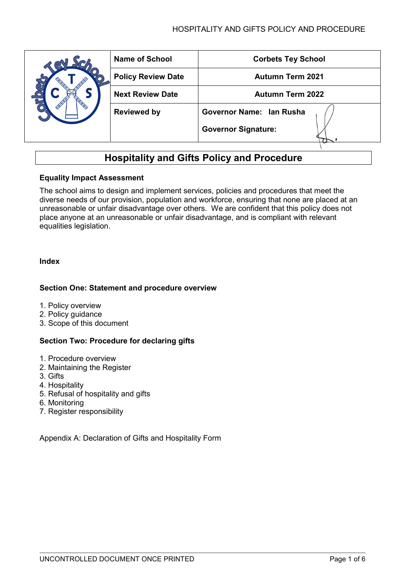# HOSPITALITY AND GIFTS POLICY AND PROCEDURE

|  | <b>Name of School</b>     | <b>Corbets Tey School</b>  |
|--|---------------------------|----------------------------|
|  | <b>Policy Review Date</b> | <b>Autumn Term 2021</b>    |
|  | <b>Next Review Date</b>   | <b>Autumn Term 2022</b>    |
|  | <b>Reviewed by</b>        | Governor Name: Ian Rusha   |
|  |                           | <b>Governor Signature:</b> |

# **Hospitality and Gifts Policy and Procedure**

## **Equality Impact Assessment**

The school aims to design and implement services, policies and procedures that meet the diverse needs of our provision, population and workforce, ensuring that none are placed at an unreasonable or unfair disadvantage over others. We are confident that this policy does not place anyone at an unreasonable or unfair disadvantage, and is compliant with relevant equalities legislation.

## **Index**

## **Section One: Statement and procedure overview**

- 1. Policy overview
- 2. Policy guidance
- 3. [Scope of this document](#page-2-0)

## **Section Two: Procedure for declaring gifts**

- 1. [Procedure](#page-1-0) overview
- 2. [Maintaining the Register](#page-3-0)
- 3. [Gifts](#page-3-1)
- 4. Hospitality
- 5. [Refusal of hospitality and gifts](#page-3-2)
- 6. [Monitoring](#page-4-0)
- 7. [Register responsibility](#page-4-1)

Appendix A: Declaration of Gifts and Hospitality Form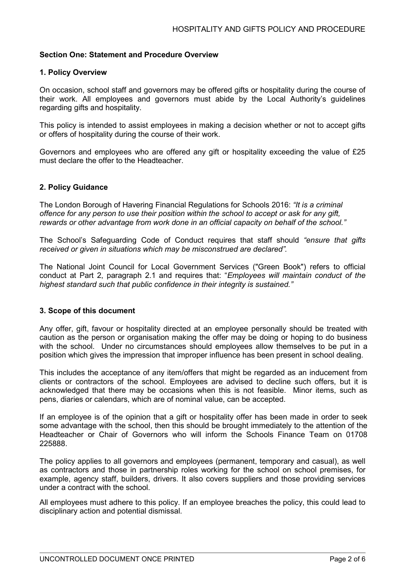## **Section One: Statement and Procedure Overview**

#### **1. Policy Overview**

On occasion, school staff and governors may be offered gifts or hospitality during the course of their work. All employees and governors must abide by the Local Authority's guidelines regarding gifts and hospitality.

This policy is intended to assist employees in making a decision whether or not to accept gifts or offers of hospitality during the course of their work.

Governors and employees who are offered any gift or hospitality exceeding the value of £25 must declare the offer to the Headteacher.

#### **2. Policy Guidance**

The London Borough of Havering Financial Regulations for Schools 2016: *"It is a criminal offence for any person to use their position within the school to accept or ask for any gift, rewards or other advantage from work done in an official capacity on behalf of the school."*

The School's Safeguarding Code of Conduct requires that staff should *"ensure that gifts received or given in situations which may be misconstrued are declared".*

The National Joint Council for Local Government Services ("Green Book") refers to official conduct at Part 2, paragraph 2.1 and requires that: "*Employees will maintain conduct of the highest standard such that public confidence in their integrity is sustained."*

#### **3. Scope of this document**

Any offer, gift, favour or hospitality directed at an employee personally should be treated with caution as the person or organisation making the offer may be doing or hoping to do business with the school. Under no circumstances should employees allow themselves to be put in a position which gives the impression that improper influence has been present in school dealing.

This includes the acceptance of any item/offers that might be regarded as an inducement from clients or contractors of the school. Employees are advised to decline such offers, but it is acknowledged that there may be occasions when this is not feasible. Minor items, such as pens, diaries or calendars, which are of nominal value, can be accepted.

If an employee is of the opinion that a gift or hospitality offer has been made in order to seek some advantage with the school, then this should be brought immediately to the attention of the Headteacher or Chair of Governors who will inform the Schools Finance Team on 01708 225888.

The policy applies to all governors and employees (permanent, temporary and casual), as well as contractors and those in partnership roles working for the school on school premises, for example, agency staff, builders, drivers. It also covers suppliers and those providing services under a contract with the school.

<span id="page-1-0"></span>All employees must adhere to this policy. If an employee breaches the policy, this could lead to disciplinary action and potential dismissal.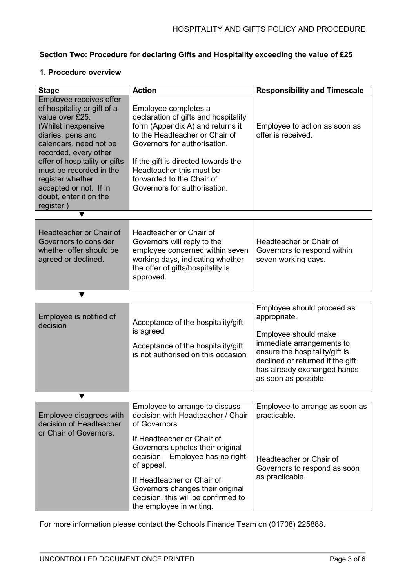# **Section Two: Procedure for declaring Gifts and Hospitality exceeding the value of £25**

# **1. Procedure overview**

| <b>Stage</b>                                                                                                                                                                                                                                                                                                               | <b>Action</b>                                                                                                                                                                                                                                                                                      | <b>Responsibility and Timescale</b>                                                                                                                                                                                         |
|----------------------------------------------------------------------------------------------------------------------------------------------------------------------------------------------------------------------------------------------------------------------------------------------------------------------------|----------------------------------------------------------------------------------------------------------------------------------------------------------------------------------------------------------------------------------------------------------------------------------------------------|-----------------------------------------------------------------------------------------------------------------------------------------------------------------------------------------------------------------------------|
| Employee receives offer<br>of hospitality or gift of a<br>value over £25.<br>(Whilst inexpensive<br>diaries, pens and<br>calendars, need not be<br>recorded, every other<br>offer of hospitality or gifts<br>must be recorded in the<br>register whether<br>accepted or not. If in<br>doubt, enter it on the<br>register.) | Employee completes a<br>declaration of gifts and hospitality<br>form (Appendix A) and returns it<br>to the Headteacher or Chair of<br>Governors for authorisation.<br>If the gift is directed towards the<br>Headteacher this must be<br>forwarded to the Chair of<br>Governors for authorisation. | Employee to action as soon as<br>offer is received.                                                                                                                                                                         |
| v                                                                                                                                                                                                                                                                                                                          |                                                                                                                                                                                                                                                                                                    |                                                                                                                                                                                                                             |
| Headteacher or Chair of<br>Governors to consider<br>whether offer should be<br>agreed or declined.                                                                                                                                                                                                                         | Headteacher or Chair of<br>Governors will reply to the<br>employee concerned within seven<br>working days, indicating whether<br>the offer of gifts/hospitality is<br>approved.                                                                                                                    | Headteacher or Chair of<br>Governors to respond within<br>seven working days.                                                                                                                                               |
| ▼                                                                                                                                                                                                                                                                                                                          |                                                                                                                                                                                                                                                                                                    |                                                                                                                                                                                                                             |
| Employee is notified of<br>decision                                                                                                                                                                                                                                                                                        | Acceptance of the hospitality/gift<br>is agreed<br>Acceptance of the hospitality/gift<br>is not authorised on this occasion                                                                                                                                                                        | Employee should proceed as<br>appropriate.<br>Employee should make<br>immediate arrangements to<br>ensure the hospitality/gift is<br>declined or returned if the gift<br>has already exchanged hands<br>as soon as possible |
| v                                                                                                                                                                                                                                                                                                                          |                                                                                                                                                                                                                                                                                                    |                                                                                                                                                                                                                             |
| Employee disagrees with<br>decision of Headteacher<br>or Chair of Governors.                                                                                                                                                                                                                                               | Employee to arrange to discuss<br>decision with Headteacher / Chair<br>of Governors<br>If Headteacher or Chair of<br>Governors upholds their original<br>decision - Employee has no right<br>of appeal.<br>If Headteacher or Chair of                                                              | Employee to arrange as soon as<br>practicable.<br>Headteacher or Chair of<br>Governors to respond as soon<br>as practicable.                                                                                                |
|                                                                                                                                                                                                                                                                                                                            | Governors changes their original<br>decision, this will be confirmed to<br>the employee in writing.                                                                                                                                                                                                |                                                                                                                                                                                                                             |

<span id="page-2-0"></span>For more information please contact the Schools Finance Team on (01708) 225888.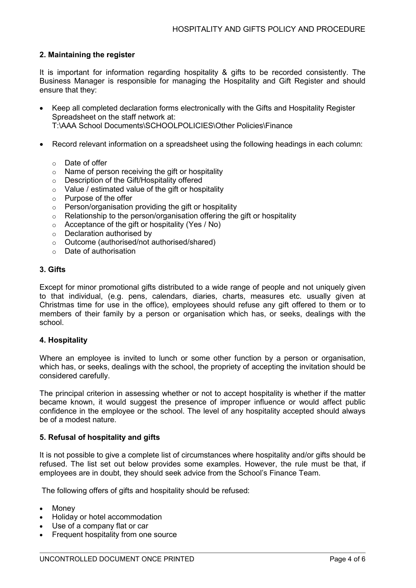# <span id="page-3-0"></span>**2. Maintaining the register**

It is important for information regarding hospitality & gifts to be recorded consistently. The Business Manager is responsible for managing the Hospitality and Gift Register and should ensure that they:

- Keep all completed declaration forms electronically with the Gifts and Hospitality Register Spreadsheet on the staff network at: T:\AAA School Documents\SCHOOLPOLICIES\Other Policies\Finance
- Record relevant information on a spreadsheet using the following headings in each column:
	- Date of offer<br>○ Name of pers
	- Name of person receiving the gift or hospitality
	- o Description of the Gift/Hospitality offered
	- o Value / estimated value of the gift or hospitality
	- o Purpose of the offer<br>
	o Person/organisation
	- Person/organisation providing the gift or hospitality
	- o Relationship to the person/organisation offering the gift or hospitality
	- o Acceptance of the gift or hospitality (Yes / No)
	- o Declaration authorised by
	- o Outcome (authorised/not authorised/shared)
	- $\circ$  Date of authorisation

#### <span id="page-3-1"></span>**3. Gifts**

Except for minor promotional gifts distributed to a wide range of people and not uniquely given to that individual, (e.g. pens, calendars, diaries, charts, measures etc. usually given at Christmas time for use in the office), employees should refuse any gift offered to them or to members of their family by a person or organisation which has, or seeks, dealings with the school.

#### **4. Hospitality**

Where an employee is invited to lunch or some other function by a person or organisation, which has, or seeks, dealings with the school, the propriety of accepting the invitation should be considered carefully.

The principal criterion in assessing whether or not to accept hospitality is whether if the matter became known, it would suggest the presence of improper influence or would affect public confidence in the employee or the school. The level of any hospitality accepted should always be of a modest nature.

#### <span id="page-3-2"></span>**5. Refusal of hospitality and gifts**

It is not possible to give a complete list of circumstances where hospitality and/or gifts should be refused. The list set out below provides some examples. However, the rule must be that, if employees are in doubt, they should seek advice from the School's Finance Team.

The following offers of gifts and hospitality should be refused:

- Money
- Holiday or hotel accommodation
- Use of a company flat or car
- Frequent hospitality from one source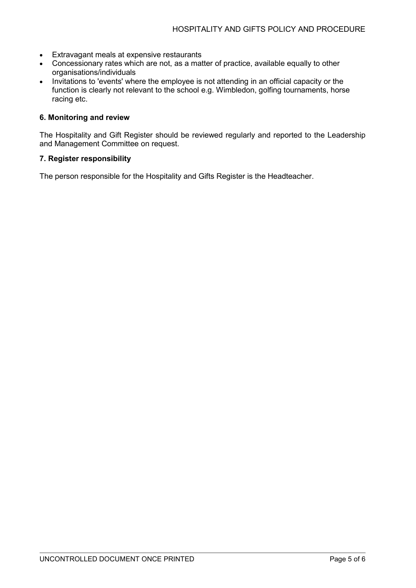- Extravagant meals at expensive restaurants
- Concessionary rates which are not, as a matter of practice, available equally to other organisations/individuals
- Invitations to 'events' where the employee is not attending in an official capacity or the function is clearly not relevant to the school e.g. Wimbledon, golfing tournaments, horse racing etc.

#### <span id="page-4-0"></span>**6. Monitoring and review**

The Hospitality and Gift Register should be reviewed regularly and reported to the Leadership and Management Committee on request.

#### <span id="page-4-1"></span>**7. Register responsibility**

The person responsible for the Hospitality and Gifts Register is the Headteacher.